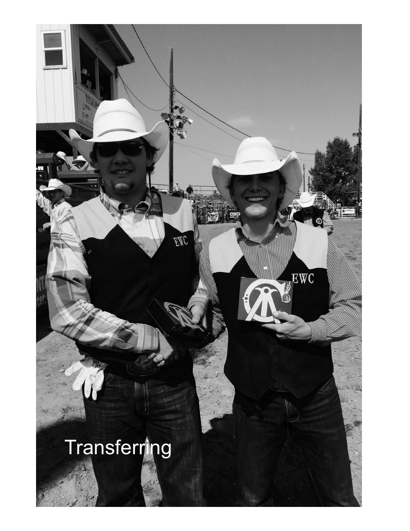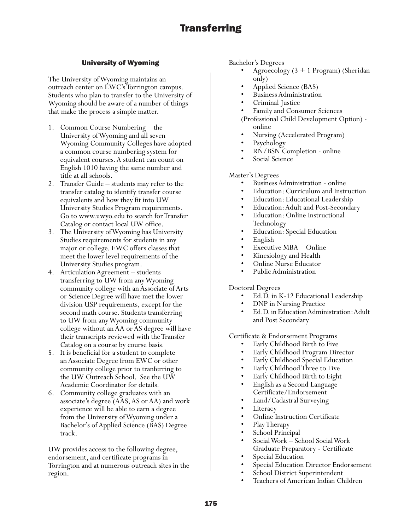# **Transferring**

# University of Wyoming

The University of Wyoming maintains an outreach center on EWC's Torrington campus. Students who plan to transfer to the University of Wyoming should be aware of a number of things that make the process a simple matter.

- 1. Common Course Numbering the University of Wyoming and all seven Wyoming Community Colleges have adopted a common course numbering system for equivalent courses. A student can count on English 1010 having the same number and title at all schools.
- 2. Transfer Guide students may refer to the transfer catalog to identify transfer course equivalents and how they fit into UW University Studies Program requirements. Go to www.uwyo.edu to search for Transfer Catalog or contact local UW office.
- 3. The University of Wyoming has University Studies requirements for students in any major or college. EWC offers classes that meet the lower level requirements of the University Studies program.
- 4. Articulation Agreement students transferring to UW from any Wyoming community college with an Associate of Arts or Science Degree will have met the lower division USP requirements, except for the second math course. Students transferring to UW from any Wyoming community college without an AA or AS degree will have their transcripts reviewed with the Transfer Catalog on a course by course basis.
- 5. It is beneficial for a student to complete an Associate Degree from EWC or other community college prior to tranferring to the UW Outreach School. See the UW Academic Coordinator for details.
- 6. Community college graduates with an associate's degree (AAS, AS or AA) and work experience will be able to earn a degree from the University of Wyoming under a Bachelor's of Applied Science (BAS) Degree track.

UW provides access to the following degree, endorsement, and certificate programs in Torrington and at numerous outreach sites in the region.

- Bachelor's Degrees Agroecology (3 + 1 Program) (Sheridan only)<br>
• Applied Science (BAS)<br>
• Business Administration<br>
• Criminal Justice<br>
• Family and Consumer Sciences<br>
(Professional Child Development Option) -
	-
	-
	-
	-
	-
	- online<br>• Nursing (Accelerated Program)<br>• Psychology<br>• RN/BSN Completion online<br>• Social Science
	-
	-
	-

- Master's Degrees Business Administration online
	-
	-
	-
	- Education: Curriculum and Instruction<br>• Education: Educational Leadership<br>• Education: Adult and Post-Secondary<br>• Education: Online Instructional<br>• Education: Special Education<br>• English<br>• Executive MBA Online<br>• Kinesi
	-
	-
	-
	-
	-
	-

# Doctoral Degrees

- Ed.D. in K-12 Educational Leadership
- DNP in Nursing Practice
- Ed.D. in Education Administration: Adult and Post Secondary

Certificate & Endorsement Programs

- Early Childhood Birth to Five
- 
- Early Childhood Program Director Early Childhood Special Education
- Early Childhood Three to Five
- Early Childhood Birth to Eight
- English as a Second Language Certificate/Endorsement
- Land/Cadastral Surveying
- **Literacy**
- Online Instruction Certificate
- Play Therapy
- School Principal
- Social Work School Social Work Graduate Preparatory - Certificate
- Special Education
- Special Education Director Endorsement
- School District Superintendent
- Teachers of American Indian Children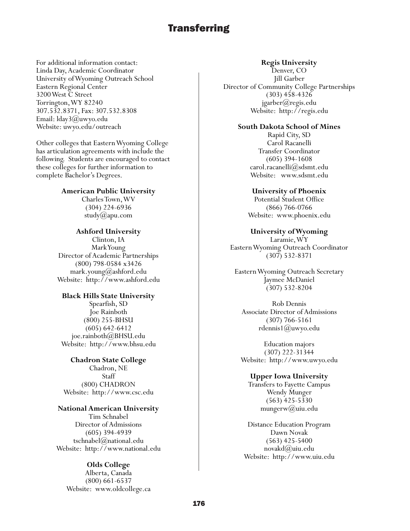# **Transferring**

For additional information contact: Linda Day, Academic Coordinator University of Wyoming Outreach School Eastern Regional Center 3200 West C Street Torrington, WY 82240 307.532.8371, Fax: 307.532.8308 Email: lday3@uwyo.edu Website: uwyo.edu/outreach

Other colleges that Eastern Wyoming College has articulation agreements with include the following. Students are encouraged to contact these colleges for further information to complete Bachelor's Degrees.

**American Public University**

Charles Town, WV (304) 224-6936 study $(a)$ apu.com

#### **Ashford University**

Clinton, IA Mark Young Director of Academic Partnerships (800) 798-0584 x3426 mark.young@ashford.edu Website: http://www.ashford.edu

#### **Black Hills State University**

Spearfish, SD Joe Rainboth (800) 255-BHSU (605) 642-6412 joe.rainboth@BHSU.edu Website: http://www.bhsu.edu

**Chadron State College** Chadron, NE **Staff** (800) CHADRON Website: http://www.csc.edu

## **National American University** Tim Schnabel Director of Admissions

(605) 394-4939 tschnabel@national.edu Website: http://www.national.edu

### **Olds College**

Alberta, Canada (800) 661-6537 Website: www.oldcollege.ca

#### **Regis University**

Denver, CO Jill Garber Director of Community College Partnerships (303) 458-4326 jgarber@regis.edu Website: http://regis.edu

#### **South Dakota School of Mines**

Rapid City, SD Carol Racanelli Transfer Coordinator (605) 394-1608 carol.racanelli@sdsmt.edu Website: www.sdsmt.edu

#### **University of Phoenix**

Potential Student Office (866) 766-0766 Website: www.phoenix.edu

### **University of Wyoming**

Laramie, WY Eastern Wyoming Outreach Coordinator (307) 532-8371

Eastern Wyoming Outreach Secretary Jaymee McDaniel (307) 532-8204

Rob Dennis Associate Director of Admissions (307) 766-5161 rdennis1@uwyo.edu

Education majors (307) 222-31344 Website: http://www.uwyo.edu

#### **Upper Iowa University**

Transfers to Fayette Campus Wendy Munger (563) 425-5330 mungerw@uiu.edu

Distance Education Program Dawn Novak (563) 425-5400 novakd@uiu.edu Website: http://www.uiu.edu